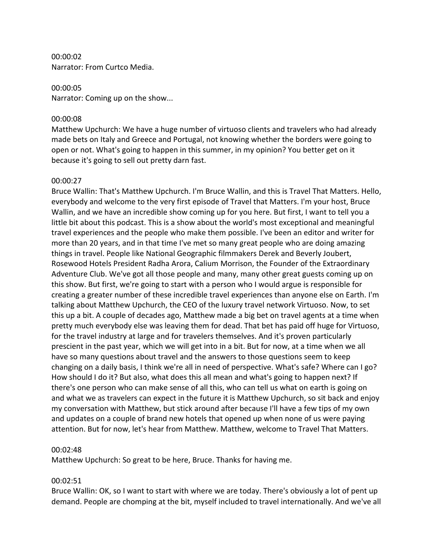00:00:02 Narrator: From Curtco Media.

#### 00:00:05

Narrator: Coming up on the show...

#### 00:00:08

Matthew Upchurch: We have a huge number of virtuoso clients and travelers who had already made bets on Italy and Greece and Portugal, not knowing whether the borders were going to open or not. What's going to happen in this summer, in my opinion? You better get on it because it's going to sell out pretty darn fast.

#### 00:00:27

Bruce Wallin: That's Matthew Upchurch. I'm Bruce Wallin, and this is Travel That Matters. Hello, everybody and welcome to the very first episode of Travel that Matters. I'm your host, Bruce Wallin, and we have an incredible show coming up for you here. But first, I want to tell you a little bit about this podcast. This is a show about the world's most exceptional and meaningful travel experiences and the people who make them possible. I've been an editor and writer for more than 20 years, and in that time I've met so many great people who are doing amazing things in travel. People like National Geographic filmmakers Derek and Beverly Joubert, Rosewood Hotels President Radha Arora, Calium Morrison, the Founder of the Extraordinary Adventure Club. We've got all those people and many, many other great guests coming up on this show. But first, we're going to start with a person who I would argue is responsible for creating a greater number of these incredible travel experiences than anyone else on Earth. I'm talking about Matthew Upchurch, the CEO of the luxury travel network Virtuoso. Now, to set this up a bit. A couple of decades ago, Matthew made a big bet on travel agents at a time when pretty much everybody else was leaving them for dead. That bet has paid off huge for Virtuoso, for the travel industry at large and for travelers themselves. And it's proven particularly prescient in the past year, which we will get into in a bit. But for now, at a time when we all have so many questions about travel and the answers to those questions seem to keep changing on a daily basis, I think we're all in need of perspective. What's safe? Where can I go? How should I do it? But also, what does this all mean and what's going to happen next? If there's one person who can make sense of all this, who can tell us what on earth is going on and what we as travelers can expect in the future it is Matthew Upchurch, so sit back and enjoy my conversation with Matthew, but stick around after because I'll have a few tips of my own and updates on a couple of brand new hotels that opened up when none of us were paying attention. But for now, let's hear from Matthew. Matthew, welcome to Travel That Matters.

#### 00:02:48

Matthew Upchurch: So great to be here, Bruce. Thanks for having me.

### 00:02:51

Bruce Wallin: OK, so I want to start with where we are today. There's obviously a lot of pent up demand. People are chomping at the bit, myself included to travel internationally. And we've all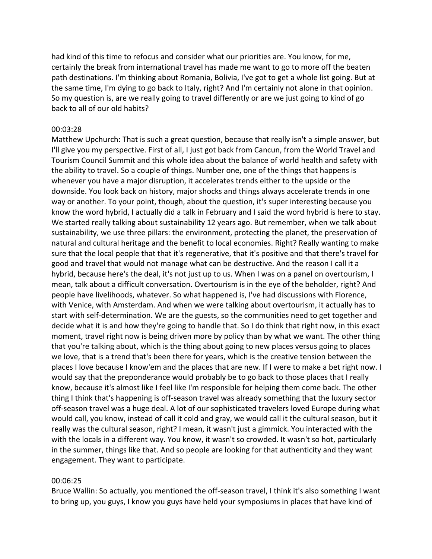had kind of this time to refocus and consider what our priorities are. You know, for me, certainly the break from international travel has made me want to go to more off the beaten path destinations. I'm thinking about Romania, Bolivia, I've got to get a whole list going. But at the same time, I'm dying to go back to Italy, right? And I'm certainly not alone in that opinion. So my question is, are we really going to travel differently or are we just going to kind of go back to all of our old habits?

## 00:03:28

Matthew Upchurch: That is such a great question, because that really isn't a simple answer, but I'll give you my perspective. First of all, I just got back from Cancun, from the World Travel and Tourism Council Summit and this whole idea about the balance of world health and safety with the ability to travel. So a couple of things. Number one, one of the things that happens is whenever you have a major disruption, it accelerates trends either to the upside or the downside. You look back on history, major shocks and things always accelerate trends in one way or another. To your point, though, about the question, it's super interesting because you know the word hybrid, I actually did a talk in February and I said the word hybrid is here to stay. We started really talking about sustainability 12 years ago. But remember, when we talk about sustainability, we use three pillars: the environment, protecting the planet, the preservation of natural and cultural heritage and the benefit to local economies. Right? Really wanting to make sure that the local people that that it's regenerative, that it's positive and that there's travel for good and travel that would not manage what can be destructive. And the reason I call it a hybrid, because here's the deal, it's not just up to us. When I was on a panel on overtourism, I mean, talk about a difficult conversation. Overtourism is in the eye of the beholder, right? And people have livelihoods, whatever. So what happened is, I've had discussions with Florence, with Venice, with Amsterdam. And when we were talking about overtourism, it actually has to start with self-determination. We are the guests, so the communities need to get together and decide what it is and how they're going to handle that. So I do think that right now, in this exact moment, travel right now is being driven more by policy than by what we want. The other thing that you're talking about, which is the thing about going to new places versus going to places we love, that is a trend that's been there for years, which is the creative tension between the places I love because I know'em and the places that are new. If I were to make a bet right now. I would say that the preponderance would probably be to go back to those places that I really know, because it's almost like I feel like I'm responsible for helping them come back. The other thing I think that's happening is off-season travel was already something that the luxury sector off-season travel was a huge deal. A lot of our sophisticated travelers loved Europe during what would call, you know, instead of call it cold and gray, we would call it the cultural season, but it really was the cultural season, right? I mean, it wasn't just a gimmick. You interacted with the with the locals in a different way. You know, it wasn't so crowded. It wasn't so hot, particularly in the summer, things like that. And so people are looking for that authenticity and they want engagement. They want to participate.

#### 00:06:25

Bruce Wallin: So actually, you mentioned the off-season travel, I think it's also something I want to bring up, you guys, I know you guys have held your symposiums in places that have kind of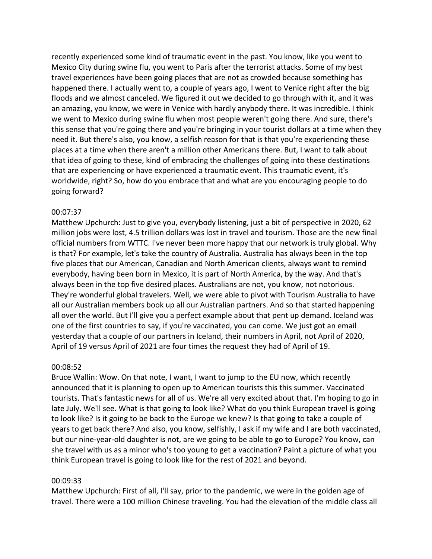recently experienced some kind of traumatic event in the past. You know, like you went to Mexico City during swine flu, you went to Paris after the terrorist attacks. Some of my best travel experiences have been going places that are not as crowded because something has happened there. I actually went to, a couple of years ago, I went to Venice right after the big floods and we almost canceled. We figured it out we decided to go through with it, and it was an amazing, you know, we were in Venice with hardly anybody there. It was incredible. I think we went to Mexico during swine flu when most people weren't going there. And sure, there's this sense that you're going there and you're bringing in your tourist dollars at a time when they need it. But there's also, you know, a selfish reason for that is that you're experiencing these places at a time when there aren't a million other Americans there. But, I want to talk about that idea of going to these, kind of embracing the challenges of going into these destinations that are experiencing or have experienced a traumatic event. This traumatic event, it's worldwide, right? So, how do you embrace that and what are you encouraging people to do going forward?

## 00:07:37

Matthew Upchurch: Just to give you, everybody listening, just a bit of perspective in 2020, 62 million jobs were lost, 4.5 trillion dollars was lost in travel and tourism. Those are the new final official numbers from WTTC. I've never been more happy that our network is truly global. Why is that? For example, let's take the country of Australia. Australia has always been in the top five places that our American, Canadian and North American clients, always want to remind everybody, having been born in Mexico, it is part of North America, by the way. And that's always been in the top five desired places. Australians are not, you know, not notorious. They're wonderful global travelers. Well, we were able to pivot with Tourism Australia to have all our Australian members book up all our Australian partners. And so that started happening all over the world. But I'll give you a perfect example about that pent up demand. Iceland was one of the first countries to say, if you're vaccinated, you can come. We just got an email yesterday that a couple of our partners in Iceland, their numbers in April, not April of 2020, April of 19 versus April of 2021 are four times the request they had of April of 19.

#### 00:08:52

Bruce Wallin: Wow. On that note, I want, I want to jump to the EU now, which recently announced that it is planning to open up to American tourists this this summer. Vaccinated tourists. That's fantastic news for all of us. We're all very excited about that. I'm hoping to go in late July. We'll see. What is that going to look like? What do you think European travel is going to look like? Is it going to be back to the Europe we knew? Is that going to take a couple of years to get back there? And also, you know, selfishly, I ask if my wife and I are both vaccinated, but our nine-year-old daughter is not, are we going to be able to go to Europe? You know, can she travel with us as a minor who's too young to get a vaccination? Paint a picture of what you think European travel is going to look like for the rest of 2021 and beyond.

### 00:09:33

Matthew Upchurch: First of all, I'll say, prior to the pandemic, we were in the golden age of travel. There were a 100 million Chinese traveling. You had the elevation of the middle class all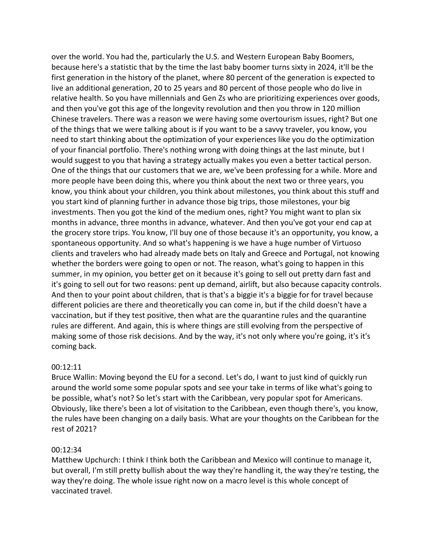over the world. You had the, particularly the U.S. and Western European Baby Boomers, because here's a statistic that by the time the last baby boomer turns sixty in 2024, it'll be the first generation in the history of the planet, where 80 percent of the generation is expected to live an additional generation, 20 to 25 years and 80 percent of those people who do live in relative health. So you have millennials and Gen Zs who are prioritizing experiences over goods, and then you've got this age of the longevity revolution and then you throw in 120 million Chinese travelers. There was a reason we were having some overtourism issues, right? But one of the things that we were talking about is if you want to be a savvy traveler, you know, you need to start thinking about the optimization of your experiences like you do the optimization of your financial portfolio. There's nothing wrong with doing things at the last minute, but I would suggest to you that having a strategy actually makes you even a better tactical person. One of the things that our customers that we are, we've been professing for a while. More and more people have been doing this, where you think about the next two or three years, you know, you think about your children, you think about milestones, you think about this stuff and you start kind of planning further in advance those big trips, those milestones, your big investments. Then you got the kind of the medium ones, right? You might want to plan six months in advance, three months in advance, whatever. And then you've got your end cap at the grocery store trips. You know, I'll buy one of those because it's an opportunity, you know, a spontaneous opportunity. And so what's happening is we have a huge number of Virtuoso clients and travelers who had already made bets on Italy and Greece and Portugal, not knowing whether the borders were going to open or not. The reason, what's going to happen in this summer, in my opinion, you better get on it because it's going to sell out pretty darn fast and it's going to sell out for two reasons: pent up demand, airlift, but also because capacity controls. And then to your point about children, that is that's a biggie it's a biggie for for travel because different policies are there and theoretically you can come in, but if the child doesn't have a vaccination, but if they test positive, then what are the quarantine rules and the quarantine rules are different. And again, this is where things are still evolving from the perspective of making some of those risk decisions. And by the way, it's not only where you're going, it's it's coming back.

## 00:12:11

Bruce Wallin: Moving beyond the EU for a second. Let's do, I want to just kind of quickly run around the world some some popular spots and see your take in terms of like what's going to be possible, what's not? So let's start with the Caribbean, very popular spot for Americans. Obviously, like there's been a lot of visitation to the Caribbean, even though there's, you know, the rules have been changing on a daily basis. What are your thoughts on the Caribbean for the rest of 2021?

#### 00:12:34

Matthew Upchurch: I think I think both the Caribbean and Mexico will continue to manage it, but overall, I'm still pretty bullish about the way they're handling it, the way they're testing, the way they're doing. The whole issue right now on a macro level is this whole concept of vaccinated travel.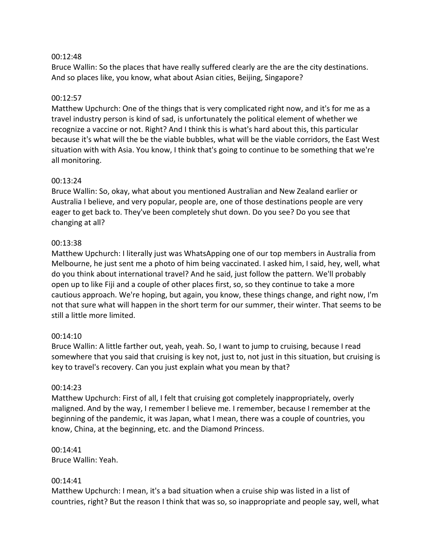## 00:12:48

Bruce Wallin: So the places that have really suffered clearly are the are the city destinations. And so places like, you know, what about Asian cities, Beijing, Singapore?

# 00:12:57

Matthew Upchurch: One of the things that is very complicated right now, and it's for me as a travel industry person is kind of sad, is unfortunately the political element of whether we recognize a vaccine or not. Right? And I think this is what's hard about this, this particular because it's what will the be the viable bubbles, what will be the viable corridors, the East West situation with with Asia. You know, I think that's going to continue to be something that we're all monitoring.

# 00:13:24

Bruce Wallin: So, okay, what about you mentioned Australian and New Zealand earlier or Australia I believe, and very popular, people are, one of those destinations people are very eager to get back to. They've been completely shut down. Do you see? Do you see that changing at all?

# 00:13:38

Matthew Upchurch: I literally just was WhatsApping one of our top members in Australia from Melbourne, he just sent me a photo of him being vaccinated. I asked him, I said, hey, well, what do you think about international travel? And he said, just follow the pattern. We'll probably open up to like Fiji and a couple of other places first, so, so they continue to take a more cautious approach. We're hoping, but again, you know, these things change, and right now, I'm not that sure what will happen in the short term for our summer, their winter. That seems to be still a little more limited.

# 00:14:10

Bruce Wallin: A little farther out, yeah, yeah. So, I want to jump to cruising, because I read somewhere that you said that cruising is key not, just to, not just in this situation, but cruising is key to travel's recovery. Can you just explain what you mean by that?

## 00:14:23

Matthew Upchurch: First of all, I felt that cruising got completely inappropriately, overly maligned. And by the way, I remember I believe me. I remember, because I remember at the beginning of the pandemic, it was Japan, what I mean, there was a couple of countries, you know, China, at the beginning, etc. and the Diamond Princess.

#### 00:14:41 Bruce Wallin: Yeah.

## 00:14:41

Matthew Upchurch: I mean, it's a bad situation when a cruise ship was listed in a list of countries, right? But the reason I think that was so, so inappropriate and people say, well, what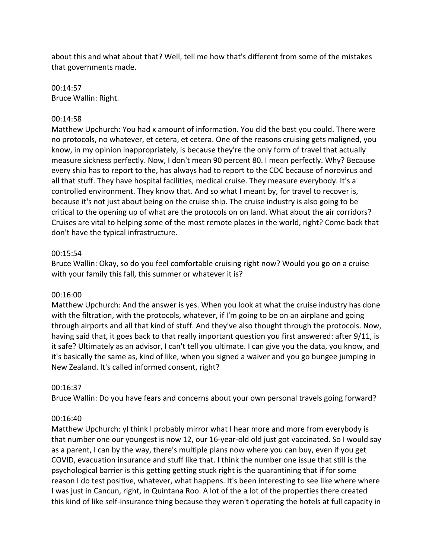about this and what about that? Well, tell me how that's different from some of the mistakes that governments made.

00:14:57 Bruce Wallin: Right.

### 00:14:58

Matthew Upchurch: You had x amount of information. You did the best you could. There were no protocols, no whatever, et cetera, et cetera. One of the reasons cruising gets maligned, you know, in my opinion inappropriately, is because they're the only form of travel that actually measure sickness perfectly. Now, I don't mean 90 percent 80. I mean perfectly. Why? Because every ship has to report to the, has always had to report to the CDC because of norovirus and all that stuff. They have hospital facilities, medical cruise. They measure everybody. It's a controlled environment. They know that. And so what I meant by, for travel to recover is, because it's not just about being on the cruise ship. The cruise industry is also going to be critical to the opening up of what are the protocols on on land. What about the air corridors? Cruises are vital to helping some of the most remote places in the world, right? Come back that don't have the typical infrastructure.

#### 00:15:54

Bruce Wallin: Okay, so do you feel comfortable cruising right now? Would you go on a cruise with your family this fall, this summer or whatever it is?

#### 00:16:00

Matthew Upchurch: And the answer is yes. When you look at what the cruise industry has done with the filtration, with the protocols, whatever, if I'm going to be on an airplane and going through airports and all that kind of stuff. And they've also thought through the protocols. Now, having said that, it goes back to that really important question you first answered: after 9/11, is it safe? Ultimately as an advisor, I can't tell you ultimate. I can give you the data, you know, and it's basically the same as, kind of like, when you signed a waiver and you go bungee jumping in New Zealand. It's called informed consent, right?

## 00:16:37

Bruce Wallin: Do you have fears and concerns about your own personal travels going forward?

#### 00:16:40

Matthew Upchurch: yI think I probably mirror what I hear more and more from everybody is that number one our youngest is now 12, our 16-year-old old just got vaccinated. So I would say as a parent, I can by the way, there's multiple plans now where you can buy, even if you get COVID, evacuation insurance and stuff like that. I think the number one issue that still is the psychological barrier is this getting getting stuck right is the quarantining that if for some reason I do test positive, whatever, what happens. It's been interesting to see like where where I was just in Cancun, right, in Quintana Roo. A lot of the a lot of the properties there created this kind of like self-insurance thing because they weren't operating the hotels at full capacity in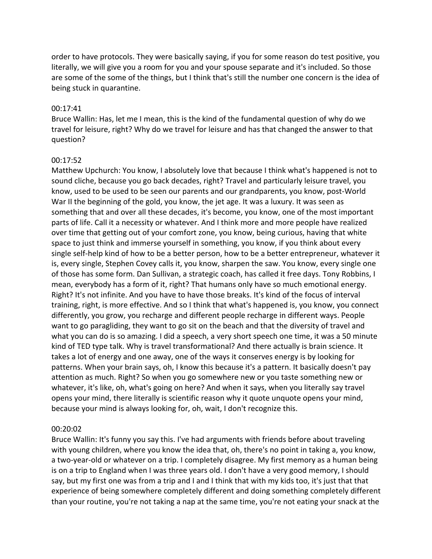order to have protocols. They were basically saying, if you for some reason do test positive, you literally, we will give you a room for you and your spouse separate and it's included. So those are some of the some of the things, but I think that's still the number one concern is the idea of being stuck in quarantine.

## 00:17:41

Bruce Wallin: Has, let me I mean, this is the kind of the fundamental question of why do we travel for leisure, right? Why do we travel for leisure and has that changed the answer to that question?

## 00:17:52

Matthew Upchurch: You know, I absolutely love that because I think what's happened is not to sound cliche, because you go back decades, right? Travel and particularly leisure travel, you know, used to be used to be seen our parents and our grandparents, you know, post-World War II the beginning of the gold, you know, the jet age. It was a luxury. It was seen as something that and over all these decades, it's become, you know, one of the most important parts of life. Call it a necessity or whatever. And I think more and more people have realized over time that getting out of your comfort zone, you know, being curious, having that white space to just think and immerse yourself in something, you know, if you think about every single self-help kind of how to be a better person, how to be a better entrepreneur, whatever it is, every single, Stephen Covey calls it, you know, sharpen the saw. You know, every single one of those has some form. Dan Sullivan, a strategic coach, has called it free days. Tony Robbins, I mean, everybody has a form of it, right? That humans only have so much emotional energy. Right? It's not infinite. And you have to have those breaks. It's kind of the focus of interval training, right, is more effective. And so I think that what's happened is, you know, you connect differently, you grow, you recharge and different people recharge in different ways. People want to go paragliding, they want to go sit on the beach and that the diversity of travel and what you can do is so amazing. I did a speech, a very short speech one time, it was a 50 minute kind of TED type talk. Why is travel transformational? And there actually is brain science. It takes a lot of energy and one away, one of the ways it conserves energy is by looking for patterns. When your brain says, oh, I know this because it's a pattern. It basically doesn't pay attention as much. Right? So when you go somewhere new or you taste something new or whatever, it's like, oh, what's going on here? And when it says, when you literally say travel opens your mind, there literally is scientific reason why it quote unquote opens your mind, because your mind is always looking for, oh, wait, I don't recognize this.

## 00:20:02

Bruce Wallin: It's funny you say this. I've had arguments with friends before about traveling with young children, where you know the idea that, oh, there's no point in taking a, you know, a two-year-old or whatever on a trip. I completely disagree. My first memory as a human being is on a trip to England when I was three years old. I don't have a very good memory, I should say, but my first one was from a trip and I and I think that with my kids too, it's just that that experience of being somewhere completely different and doing something completely different than your routine, you're not taking a nap at the same time, you're not eating your snack at the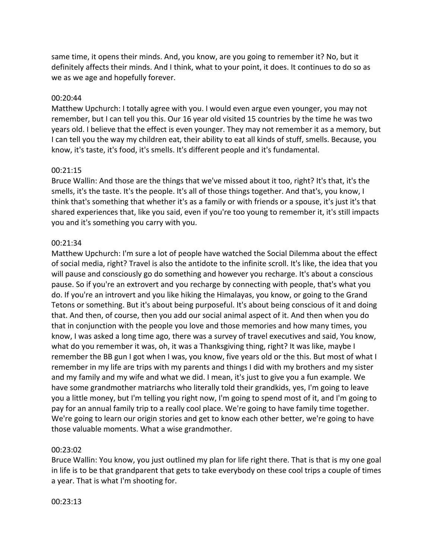same time, it opens their minds. And, you know, are you going to remember it? No, but it definitely affects their minds. And I think, what to your point, it does. It continues to do so as we as we age and hopefully forever.

## 00:20:44

Matthew Upchurch: I totally agree with you. I would even argue even younger, you may not remember, but I can tell you this. Our 16 year old visited 15 countries by the time he was two years old. I believe that the effect is even younger. They may not remember it as a memory, but I can tell you the way my children eat, their ability to eat all kinds of stuff, smells. Because, you know, it's taste, it's food, it's smells. It's different people and it's fundamental.

#### 00:21:15

Bruce Wallin: And those are the things that we've missed about it too, right? It's that, it's the smells, it's the taste. It's the people. It's all of those things together. And that's, you know, I think that's something that whether it's as a family or with friends or a spouse, it's just it's that shared experiences that, like you said, even if you're too young to remember it, it's still impacts you and it's something you carry with you.

## 00:21:34

Matthew Upchurch: I'm sure a lot of people have watched the Social Dilemma about the effect of social media, right? Travel is also the antidote to the infinite scroll. It's like, the idea that you will pause and consciously go do something and however you recharge. It's about a conscious pause. So if you're an extrovert and you recharge by connecting with people, that's what you do. If you're an introvert and you like hiking the Himalayas, you know, or going to the Grand Tetons or something. But it's about being purposeful. It's about being conscious of it and doing that. And then, of course, then you add our social animal aspect of it. And then when you do that in conjunction with the people you love and those memories and how many times, you know, I was asked a long time ago, there was a survey of travel executives and said, You know, what do you remember it was, oh, it was a Thanksgiving thing, right? It was like, maybe I remember the BB gun I got when I was, you know, five years old or the this. But most of what I remember in my life are trips with my parents and things I did with my brothers and my sister and my family and my wife and what we did. I mean, it's just to give you a fun example. We have some grandmother matriarchs who literally told their grandkids, yes, I'm going to leave you a little money, but I'm telling you right now, I'm going to spend most of it, and I'm going to pay for an annual family trip to a really cool place. We're going to have family time together. We're going to learn our origin stories and get to know each other better, we're going to have those valuable moments. What a wise grandmother.

#### 00:23:02

Bruce Wallin: You know, you just outlined my plan for life right there. That is that is my one goal in life is to be that grandparent that gets to take everybody on these cool trips a couple of times a year. That is what I'm shooting for.

#### 00:23:13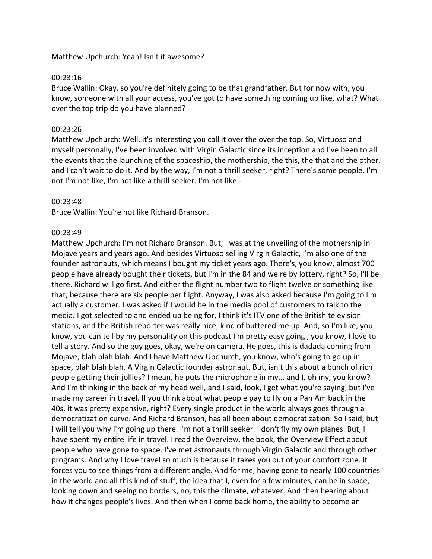Matthew Upchurch: Yeah! Isn't it awesome?

### 00:23:16

Bruce Wallin: Okay, so you're definitely going to be that grandfather. But for now with, you know, someone with all your access, you've got to have something coming up like, what? What over the top trip do you have planned?

## 00:23:26

Matthew Upchurch: Well, it's interesting you call it over the over the top. So, Virtuoso and myself personally, I've been involved with Virgin Galactic since its inception and I've been to all the events that the launching of the spaceship, the mothership, the this, the that and the other, and I can't wait to do it. And by the way, I'm not a thrill seeker, right? There's some people, I'm not I'm not like, I'm not like a thrill seeker. I'm not like -

## 00:23:48

Bruce Wallin: You're not like Richard Branson.

## 00:23:49

Matthew Upchurch: I'm not Richard Branson. But, I was at the unveiling of the mothership in Mojave years and years ago. And besides Virtuoso selling Virgin Galactic, I'm also one of the founder astronauts, which means I bought my ticket years ago. There's, you know, almost 700 people have already bought their tickets, but I'm in the 84 and we're by lottery, right? So, I'll be there. Richard will go first. And either the flight number two to flight twelve or something like that, because there are six people per flight. Anyway, I was also asked because I'm going to I'm actually a customer. I was asked if I would be in the media pool of customers to talk to the media. I got selected to and ended up being for, I think it's ITV one of the British television stations, and the British reporter was really nice, kind of buttered me up. And, so I'm like, you know, you can tell by my personality on this podcast I'm pretty easy going , you know, I love to tell a story. And so the guy goes, okay, we're on camera. He goes, this is dadada coming from Mojave, blah blah blah. And I have Matthew Upchurch, you know, who's going to go up in space, blah blah blah. A Virgin Galactic founder astronaut. But, isn't this about a bunch of rich people getting their jollies? I mean, he puts the microphone in my... and I, oh my, you know? And I'm thinking in the back of my head well, and I said, look, I get what you're saying, but I've made my career in travel. If you think about what people pay to fly on a Pan Am back in the 40s, it was pretty expensive, right? Every single product in the world always goes through a democratization curve. And Richard Branson, has all been about democratization. So I said, but I will tell you why I'm going up there. I'm not a thrill seeker. I don't fly my own planes. But, I have spent my entire life in travel. I read the Overview, the book, the Overview Effect about people who have gone to space. I've met astronauts through Virgin Galactic and through other programs. And why I love travel so much is because it takes you out of your comfort zone. It forces you to see things from a different angle. And for me, having gone to nearly 100 countries in the world and all this kind of stuff, the idea that I, even for a few minutes, can be in space, looking down and seeing no borders, no, this the climate, whatever. And then hearing about how it changes people's lives. And then when I come back home, the ability to become an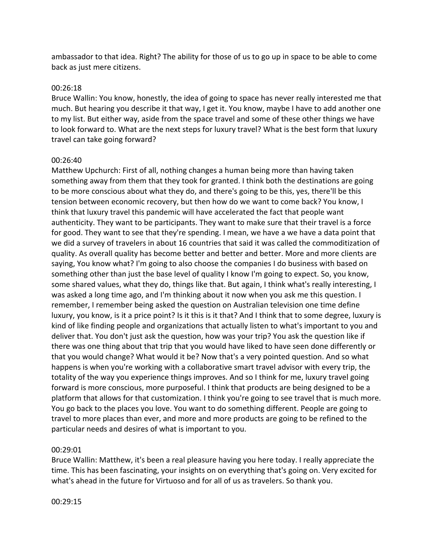ambassador to that idea. Right? The ability for those of us to go up in space to be able to come back as just mere citizens.

#### 00:26:18

Bruce Wallin: You know, honestly, the idea of going to space has never really interested me that much. But hearing you describe it that way, I get it. You know, maybe I have to add another one to my list. But either way, aside from the space travel and some of these other things we have to look forward to. What are the next steps for luxury travel? What is the best form that luxury travel can take going forward?

#### 00:26:40

Matthew Upchurch: First of all, nothing changes a human being more than having taken something away from them that they took for granted. I think both the destinations are going to be more conscious about what they do, and there's going to be this, yes, there'll be this tension between economic recovery, but then how do we want to come back? You know, I think that luxury travel this pandemic will have accelerated the fact that people want authenticity. They want to be participants. They want to make sure that their travel is a force for good. They want to see that they're spending. I mean, we have a we have a data point that we did a survey of travelers in about 16 countries that said it was called the commoditization of quality. As overall quality has become better and better and better. More and more clients are saying, You know what? I'm going to also choose the companies I do business with based on something other than just the base level of quality I know I'm going to expect. So, you know, some shared values, what they do, things like that. But again, I think what's really interesting, I was asked a long time ago, and I'm thinking about it now when you ask me this question. I remember, I remember being asked the question on Australian television one time define luxury, you know, is it a price point? Is it this is it that? And I think that to some degree, luxury is kind of like finding people and organizations that actually listen to what's important to you and deliver that. You don't just ask the question, how was your trip? You ask the question like if there was one thing about that trip that you would have liked to have seen done differently or that you would change? What would it be? Now that's a very pointed question. And so what happens is when you're working with a collaborative smart travel advisor with every trip, the totality of the way you experience things improves. And so I think for me, luxury travel going forward is more conscious, more purposeful. I think that products are being designed to be a platform that allows for that customization. I think you're going to see travel that is much more. You go back to the places you love. You want to do something different. People are going to travel to more places than ever, and more and more products are going to be refined to the particular needs and desires of what is important to you.

#### 00:29:01

Bruce Wallin: Matthew, it's been a real pleasure having you here today. I really appreciate the time. This has been fascinating, your insights on on everything that's going on. Very excited for what's ahead in the future for Virtuoso and for all of us as travelers. So thank you.

#### 00:29:15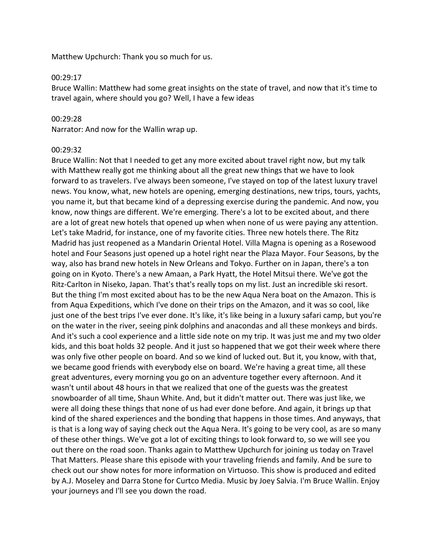Matthew Upchurch: Thank you so much for us.

#### 00:29:17

Bruce Wallin: Matthew had some great insights on the state of travel, and now that it's time to travel again, where should you go? Well, I have a few ideas

## 00:29:28

Narrator: And now for the Wallin wrap up.

## 00:29:32

Bruce Wallin: Not that I needed to get any more excited about travel right now, but my talk with Matthew really got me thinking about all the great new things that we have to look forward to as travelers. I've always been someone, I've stayed on top of the latest luxury travel news. You know, what, new hotels are opening, emerging destinations, new trips, tours, yachts, you name it, but that became kind of a depressing exercise during the pandemic. And now, you know, now things are different. We're emerging. There's a lot to be excited about, and there are a lot of great new hotels that opened up when when none of us were paying any attention. Let's take Madrid, for instance, one of my favorite cities. Three new hotels there. The Ritz Madrid has just reopened as a Mandarin Oriental Hotel. Villa Magna is opening as a Rosewood hotel and Four Seasons just opened up a hotel right near the Plaza Mayor. Four Seasons, by the way, also has brand new hotels in New Orleans and Tokyo. Further on in Japan, there's a ton going on in Kyoto. There's a new Amaan, a Park Hyatt, the Hotel Mitsui there. We've got the Ritz-Carlton in Niseko, Japan. That's that's really tops on my list. Just an incredible ski resort. But the thing I'm most excited about has to be the new Aqua Nera boat on the Amazon. This is from Aqua Expeditions, which I've done on their trips on the Amazon, and it was so cool, like just one of the best trips I've ever done. It's like, it's like being in a luxury safari camp, but you're on the water in the river, seeing pink dolphins and anacondas and all these monkeys and birds. And it's such a cool experience and a little side note on my trip. It was just me and my two older kids, and this boat holds 32 people. And it just so happened that we got their week where there was only five other people on board. And so we kind of lucked out. But it, you know, with that, we became good friends with everybody else on board. We're having a great time, all these great adventures, every morning you go on an adventure together every afternoon. And it wasn't until about 48 hours in that we realized that one of the guests was the greatest snowboarder of all time, Shaun White. And, but it didn't matter out. There was just like, we were all doing these things that none of us had ever done before. And again, it brings up that kind of the shared experiences and the bonding that happens in those times. And anyways, that is that is a long way of saying check out the Aqua Nera. It's going to be very cool, as are so many of these other things. We've got a lot of exciting things to look forward to, so we will see you out there on the road soon. Thanks again to Matthew Upchurch for joining us today on Travel That Matters. Please share this episode with your traveling friends and family. And be sure to check out our show notes for more information on Virtuoso. This show is produced and edited by A.J. Moseley and Darra Stone for Curtco Media. Music by Joey Salvia. I'm Bruce Wallin. Enjoy your journeys and I'll see you down the road.